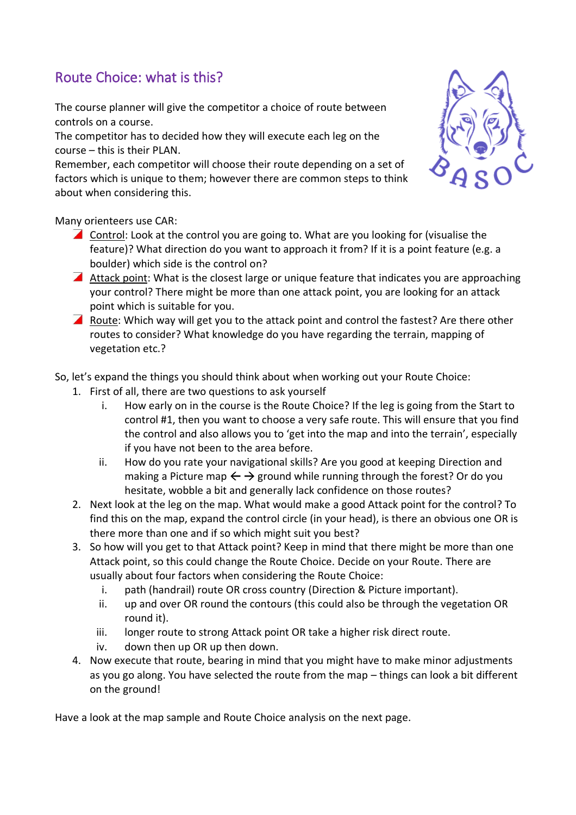## Route Choice: what is this?

The course planner will give the competitor a choice of route between controls on a course.

The competitor has to decided how they will execute each leg on the course – this is their PLAN.

Remember, each competitor will choose their route depending on a set of factors which is unique to them; however there are common steps to think about when considering this.



Many orienteers use CAR:

- Control: Look at the control you are going to. What are you looking for (visualise the feature)? What direction do you want to approach it from? If it is a point feature (e.g. a boulder) which side is the control on?
- Attack point: What is the closest large or unique feature that indicates you are approaching your control? There might be more than one attack point, you are looking for an attack point which is suitable for you.
- **A** Route: Which way will get you to the attack point and control the fastest? Are there other routes to consider? What knowledge do you have regarding the terrain, mapping of vegetation etc.?

## So, let's expand the things you should think about when working out your Route Choice:

- 1. First of all, there are two questions to ask yourself
	- i. How early on in the course is the Route Choice? If the leg is going from the Start to control #1, then you want to choose a very safe route. This will ensure that you find the control and also allows you to 'get into the map and into the terrain', especially if you have not been to the area before.
	- ii. How do you rate your navigational skills? Are you good at keeping Direction and making a Picture map  $\leftarrow \rightarrow$  ground while running through the forest? Or do you hesitate, wobble a bit and generally lack confidence on those routes?
- 2. Next look at the leg on the map. What would make a good Attack point for the control? To find this on the map, expand the control circle (in your head), is there an obvious one OR is there more than one and if so which might suit you best?
- 3. So how will you get to that Attack point? Keep in mind that there might be more than one Attack point, so this could change the Route Choice. Decide on your Route. There are usually about four factors when considering the Route Choice:
	- i. path (handrail) route OR cross country (Direction & Picture important).
	- ii. up and over OR round the contours (this could also be through the vegetation OR round it).
	- iii. longer route to strong Attack point OR take a higher risk direct route.
	- iv. down then up OR up then down.
- 4. Now execute that route, bearing in mind that you might have to make minor adjustments as you go along. You have selected the route from the map – things can look a bit different on the ground!

Have a look at the map sample and Route Choice analysis on the next page.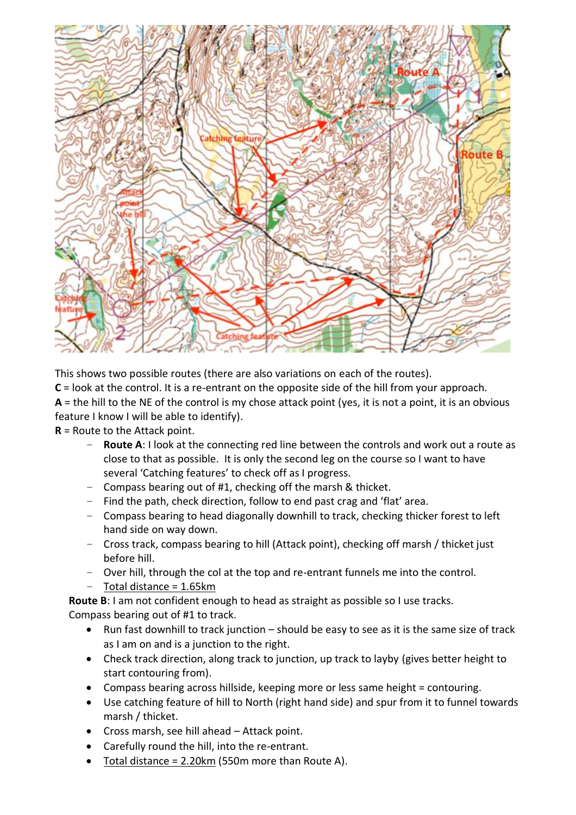

This shows two possible routes (there are also variations on each of the routes).

**C** = look at the control. It is a re-entrant on the opposite side of the hill from your approach. **A** = the hill to the NE of the control is my chose attack point (yes, it is not a point, it is an obvious

feature I know I will be able to identify).

**R** = Route to the Attack point.

- **Route A**: I look at the connecting red line between the controls and work out a route as close to that as possible. It is only the second leg on the course so I want to have several 'Catching features' to check off as I progress.
- Compass bearing out of #1, checking off the marsh & thicket.
- Find the path, check direction, follow to end past crag and 'flat' area.
- Compass bearing to head diagonally downhill to track, checking thicker forest to left hand side on way down.
- Cross track, compass bearing to hill (Attack point), checking off marsh / thicket just before hill.
- Over hill, through the col at the top and re-entrant funnels me into the control.
- Total distance = 1.65km

**Route B**: I am not confident enough to head as straight as possible so I use tracks. Compass bearing out of #1 to track.

- Run fast downhill to track junction should be easy to see as it is the same size of track as I am on and is a junction to the right.
- Check track direction, along track to junction, up track to layby (gives better height to start contouring from).
- Compass bearing across hillside, keeping more or less same height = contouring.
- Use catching feature of hill to North (right hand side) and spur from it to funnel towards marsh / thicket.
- Cross marsh, see hill ahead Attack point.
- Carefully round the hill, into the re-entrant.
- Total distance =  $2.20 \text{km}$  (550m more than Route A).